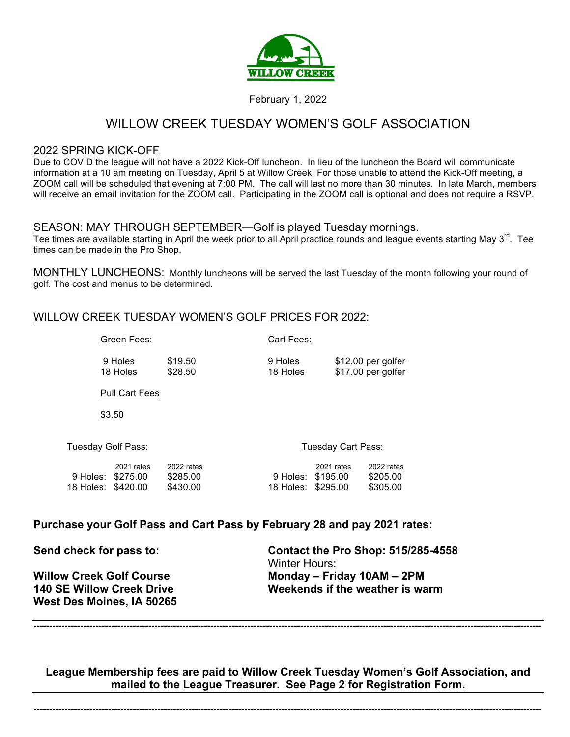

### February 1, 2022

# WILLOW CREEK TUESDAY WOMEN'S GOLF ASSOCIATION

#### 2022 SPRING KICK-OFF

Due to COVID the league will not have a 2022 Kick-Off luncheon. In lieu of the luncheon the Board will communicate information at a 10 am meeting on Tuesday, April 5 at Willow Creek. For those unable to attend the Kick-Off meeting, a ZOOM call will be scheduled that evening at 7:00 PM. The call will last no more than 30 minutes. In late March, members will receive an email invitation for the ZOOM call. Participating in the ZOOM call is optional and does not require a RSVP.

#### SEASON: MAY THROUGH SEPTEMBER—Golf is played Tuesday mornings.

Tee times are available starting in April the week prior to all April practice rounds and league events starting May 3<sup>rd</sup>. Tee times can be made in the Pro Shop.

MONTHLY LUNCHEONS: Monthly luncheons will be served the last Tuesday of the month following your round of golf. The cost and menus to be determined.

## WILLOW CREEK TUESDAY WOMEN'S GOLF PRICES FOR 2022:

Green Fees: Cart Fees:

9 Holes \$19.50 9 Holes \$12.00 per golfer 18 Holes \$28.50 18 Holes \$17.00 per golfer

Pull Cart Fees

\$3.50

Tuesday Golf Pass: Tuesday Cart Pass:

|                    | 2021 rates | 2022 rates |                    | 2021 rates | 2022 rates |
|--------------------|------------|------------|--------------------|------------|------------|
| 9 Holes: \$275.00  |            | \$285.00   | 9 Holes: \$195.00  |            | \$205.00   |
| 18 Holes: \$420.00 |            | \$430.00   | 18 Holes: \$295.00 |            | \$305.00   |

## **Purchase your Golf Pass and Cart Pass by February 28 and pay 2021 rates:**

**West Des Moines, IA 50265**

**Send check for pass to: Contact the Pro Shop: 515/285-4558** Winter Hours: **Willow Creek Golf Course Monday – Friday 10AM – 2PM 140 SE Willow Creek Drive Weekends if the weather is warm**

**League Membership fees are paid to Willow Creek Tuesday Women's Golf Association, and mailed to the League Treasurer. See Page 2 for Registration Form.**

**--------------------------------------------------------------------------------------------------------------------------------------------------------------------**

**--------------------------------------------------------------------------------------------------------------------------------------------------------------------**